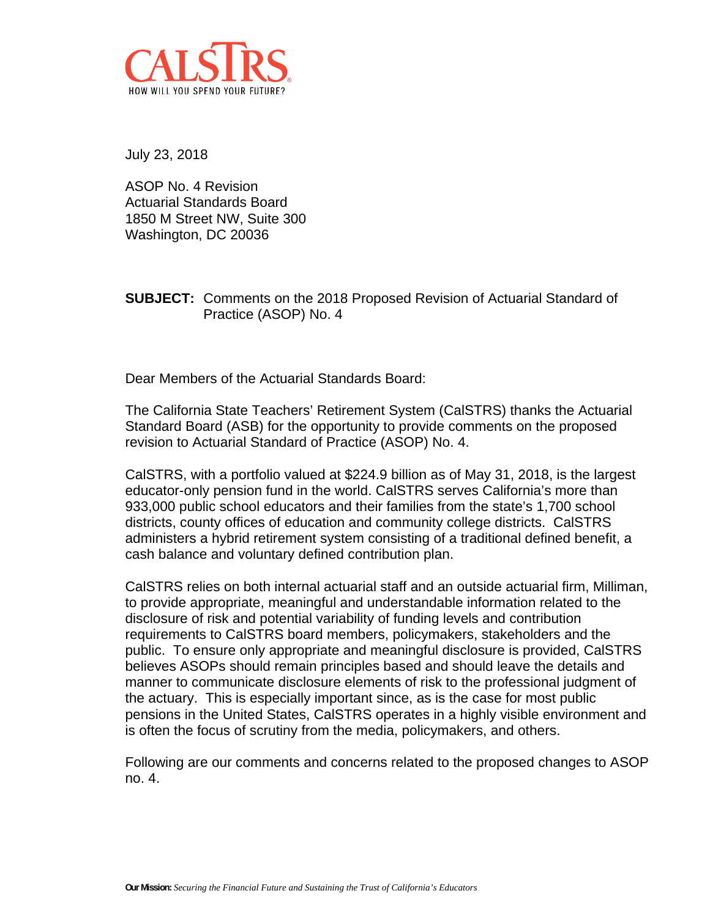

July 23, 2018

ASOP No. 4 Revision Actuarial Standards Board 1850 M Street NW, Suite 300 Washington, DC 20036

**SUBJECT:** Comments on the 2018 Proposed Revision of Actuarial Standard of Practice (ASOP) No. 4

Dear Members of the Actuarial Standards Board:

The California State Teachers' Retirement System (CalSTRS) thanks the Actuarial Standard Board (ASB) for the opportunity to provide comments on the proposed revision to Actuarial Standard of Practice (ASOP) No. 4.

CalSTRS, with a portfolio valued at \$224.9 billion as of May 31, 2018, is the largest educator-only pension fund in the world. CalSTRS serves California's more than 933,000 public school educators and their families from the state's 1,700 school districts, county offices of education and community college districts. CalSTRS administers a hybrid retirement system consisting of a traditional defined benefit, a cash balance and voluntary defined contribution plan.

CalSTRS relies on both internal actuarial staff and an outside actuarial firm, Milliman, to provide appropriate, meaningful and understandable information related to the disclosure of risk and potential variability of funding levels and contribution requirements to CalSTRS board members, policymakers, stakeholders and the public. To ensure only appropriate and meaningful disclosure is provided, CalSTRS believes ASOPs should remain principles based and should leave the details and manner to communicate disclosure elements of risk to the professional judgment of the actuary. This is especially important since, as is the case for most public pensions in the United States, CalSTRS operates in a highly visible environment and is often the focus of scrutiny from the media, policymakers, and others.

Following are our comments and concerns related to the proposed changes to ASOP no. 4.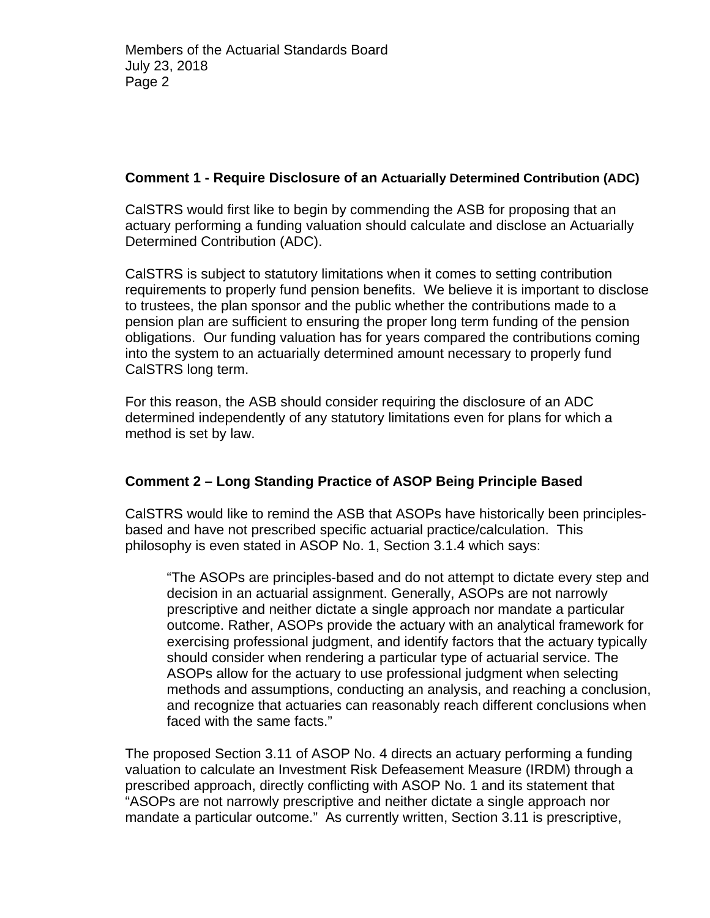### **Comment 1 - Require Disclosure of an Actuarially Determined Contribution (ADC)**

CalSTRS would first like to begin by commending the ASB for proposing that an actuary performing a funding valuation should calculate and disclose an Actuarially Determined Contribution (ADC).

CalSTRS is subject to statutory limitations when it comes to setting contribution requirements to properly fund pension benefits. We believe it is important to disclose to trustees, the plan sponsor and the public whether the contributions made to a pension plan are sufficient to ensuring the proper long term funding of the pension obligations. Our funding valuation has for years compared the contributions coming into the system to an actuarially determined amount necessary to properly fund CalSTRS long term.

For this reason, the ASB should consider requiring the disclosure of an ADC determined independently of any statutory limitations even for plans for which a method is set by law.

# **Comment 2 – Long Standing Practice of ASOP Being Principle Based**

CalSTRS would like to remind the ASB that ASOPs have historically been principlesbased and have not prescribed specific actuarial practice/calculation. This philosophy is even stated in ASOP No. 1, Section 3.1.4 which says:

"The ASOPs are principles-based and do not attempt to dictate every step and decision in an actuarial assignment. Generally, ASOPs are not narrowly prescriptive and neither dictate a single approach nor mandate a particular outcome. Rather, ASOPs provide the actuary with an analytical framework for exercising professional judgment, and identify factors that the actuary typically should consider when rendering a particular type of actuarial service. The ASOPs allow for the actuary to use professional judgment when selecting methods and assumptions, conducting an analysis, and reaching a conclusion, and recognize that actuaries can reasonably reach different conclusions when faced with the same facts."

The proposed Section 3.11 of ASOP No. 4 directs an actuary performing a funding valuation to calculate an Investment Risk Defeasement Measure (IRDM) through a prescribed approach, directly conflicting with ASOP No. 1 and its statement that "ASOPs are not narrowly prescriptive and neither dictate a single approach nor mandate a particular outcome." As currently written, Section 3.11 is prescriptive,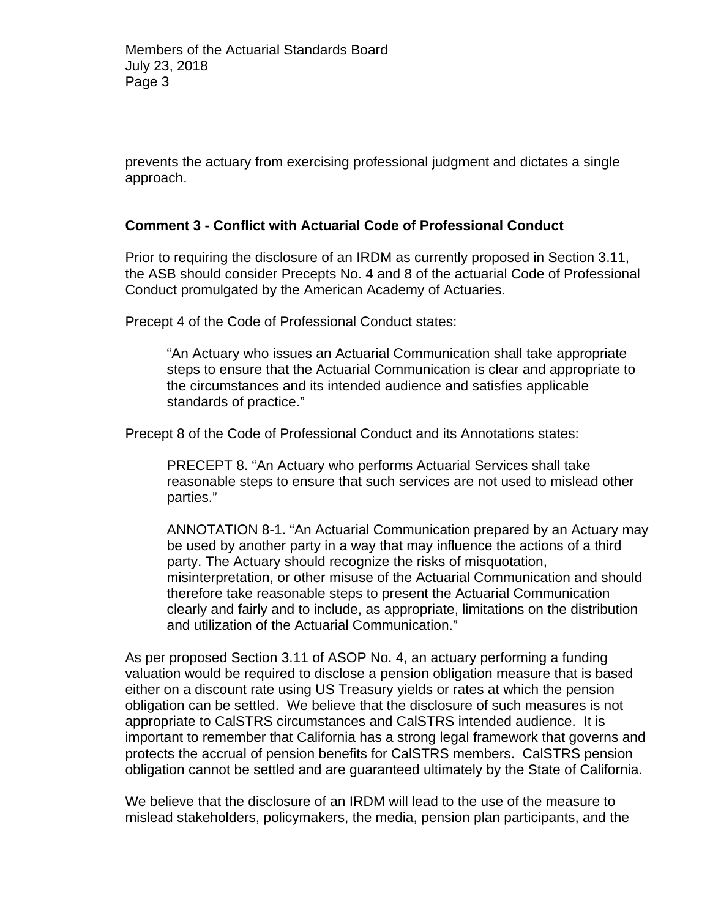prevents the actuary from exercising professional judgment and dictates a single approach.

#### **Comment 3 - Conflict with Actuarial Code of Professional Conduct**

Prior to requiring the disclosure of an IRDM as currently proposed in Section 3.11, the ASB should consider Precepts No. 4 and 8 of the actuarial Code of Professional Conduct promulgated by the American Academy of Actuaries.

Precept 4 of the Code of Professional Conduct states:

"An Actuary who issues an Actuarial Communication shall take appropriate steps to ensure that the Actuarial Communication is clear and appropriate to the circumstances and its intended audience and satisfies applicable standards of practice."

Precept 8 of the Code of Professional Conduct and its Annotations states:

PRECEPT 8. "An Actuary who performs Actuarial Services shall take reasonable steps to ensure that such services are not used to mislead other parties."

ANNOTATION 8-1. "An Actuarial Communication prepared by an Actuary may be used by another party in a way that may influence the actions of a third party. The Actuary should recognize the risks of misquotation, misinterpretation, or other misuse of the Actuarial Communication and should therefore take reasonable steps to present the Actuarial Communication clearly and fairly and to include, as appropriate, limitations on the distribution and utilization of the Actuarial Communication."

As per proposed Section 3.11 of ASOP No. 4, an actuary performing a funding valuation would be required to disclose a pension obligation measure that is based either on a discount rate using US Treasury yields or rates at which the pension obligation can be settled. We believe that the disclosure of such measures is not appropriate to CalSTRS circumstances and CalSTRS intended audience. It is important to remember that California has a strong legal framework that governs and protects the accrual of pension benefits for CalSTRS members. CalSTRS pension obligation cannot be settled and are guaranteed ultimately by the State of California.

We believe that the disclosure of an IRDM will lead to the use of the measure to mislead stakeholders, policymakers, the media, pension plan participants, and the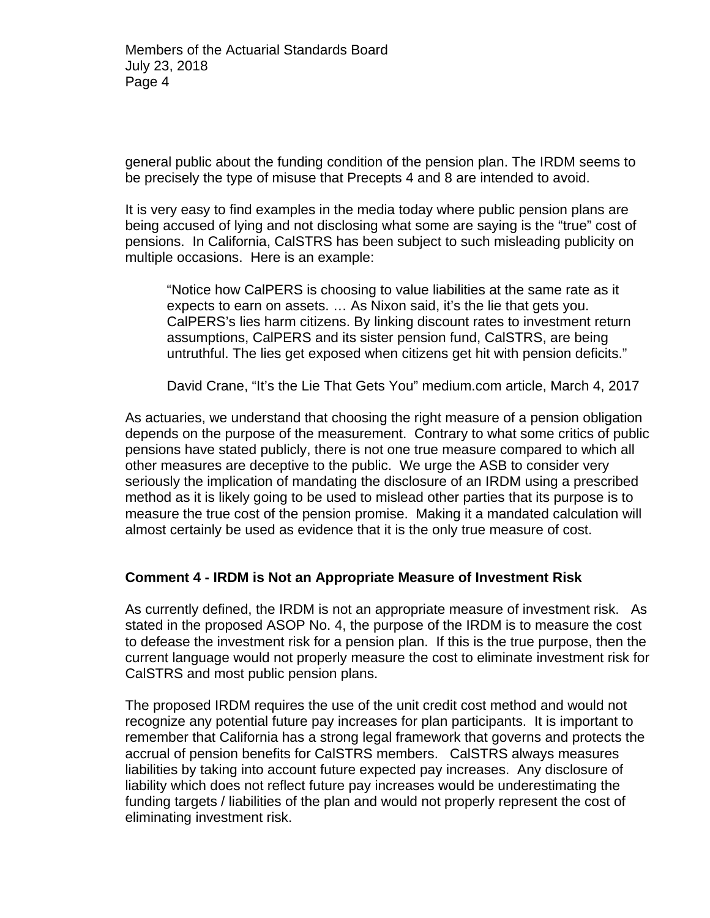general public about the funding condition of the pension plan. The IRDM seems to be precisely the type of misuse that Precepts 4 and 8 are intended to avoid.

It is very easy to find examples in the media today where public pension plans are being accused of lying and not disclosing what some are saying is the "true" cost of pensions. In California, CalSTRS has been subject to such misleading publicity on multiple occasions. Here is an example:

"Notice how CalPERS is choosing to value liabilities at the same rate as it expects to earn on assets. … As Nixon said, it's the lie that gets you. CalPERS's lies harm citizens. By linking discount rates to investment return assumptions, CalPERS and its sister pension fund, CalSTRS, are being untruthful. The lies get exposed when citizens get hit with pension deficits."

David Crane, "It's the Lie That Gets You" medium.com article, March 4, 2017

As actuaries, we understand that choosing the right measure of a pension obligation depends on the purpose of the measurement. Contrary to what some critics of public pensions have stated publicly, there is not one true measure compared to which all other measures are deceptive to the public. We urge the ASB to consider very seriously the implication of mandating the disclosure of an IRDM using a prescribed method as it is likely going to be used to mislead other parties that its purpose is to measure the true cost of the pension promise. Making it a mandated calculation will almost certainly be used as evidence that it is the only true measure of cost.

### **Comment 4 - IRDM is Not an Appropriate Measure of Investment Risk**

As currently defined, the IRDM is not an appropriate measure of investment risk. As stated in the proposed ASOP No. 4, the purpose of the IRDM is to measure the cost to defease the investment risk for a pension plan. If this is the true purpose, then the current language would not properly measure the cost to eliminate investment risk for CalSTRS and most public pension plans.

The proposed IRDM requires the use of the unit credit cost method and would not recognize any potential future pay increases for plan participants. It is important to remember that California has a strong legal framework that governs and protects the accrual of pension benefits for CalSTRS members. CalSTRS always measures liabilities by taking into account future expected pay increases. Any disclosure of liability which does not reflect future pay increases would be underestimating the funding targets / liabilities of the plan and would not properly represent the cost of eliminating investment risk.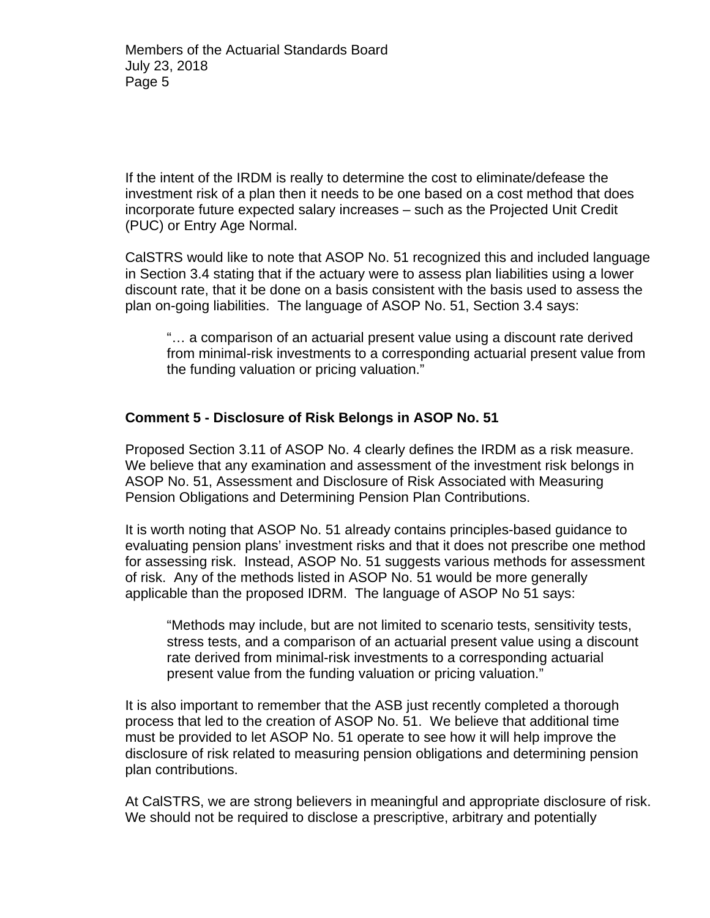If the intent of the IRDM is really to determine the cost to eliminate/defease the investment risk of a plan then it needs to be one based on a cost method that does incorporate future expected salary increases – such as the Projected Unit Credit (PUC) or Entry Age Normal.

CalSTRS would like to note that ASOP No. 51 recognized this and included language in Section 3.4 stating that if the actuary were to assess plan liabilities using a lower discount rate, that it be done on a basis consistent with the basis used to assess the plan on-going liabilities. The language of ASOP No. 51, Section 3.4 says:

"… a comparison of an actuarial present value using a discount rate derived from minimal-risk investments to a corresponding actuarial present value from the funding valuation or pricing valuation."

## **Comment 5 - Disclosure of Risk Belongs in ASOP No. 51**

Proposed Section 3.11 of ASOP No. 4 clearly defines the IRDM as a risk measure. We believe that any examination and assessment of the investment risk belongs in ASOP No. 51, Assessment and Disclosure of Risk Associated with Measuring Pension Obligations and Determining Pension Plan Contributions.

It is worth noting that ASOP No. 51 already contains principles-based guidance to evaluating pension plans' investment risks and that it does not prescribe one method for assessing risk. Instead, ASOP No. 51 suggests various methods for assessment of risk. Any of the methods listed in ASOP No. 51 would be more generally applicable than the proposed IDRM. The language of ASOP No 51 says:

"Methods may include, but are not limited to scenario tests, sensitivity tests, stress tests, and a comparison of an actuarial present value using a discount rate derived from minimal-risk investments to a corresponding actuarial present value from the funding valuation or pricing valuation."

It is also important to remember that the ASB just recently completed a thorough process that led to the creation of ASOP No. 51. We believe that additional time must be provided to let ASOP No. 51 operate to see how it will help improve the disclosure of risk related to measuring pension obligations and determining pension plan contributions.

At CalSTRS, we are strong believers in meaningful and appropriate disclosure of risk. We should not be required to disclose a prescriptive, arbitrary and potentially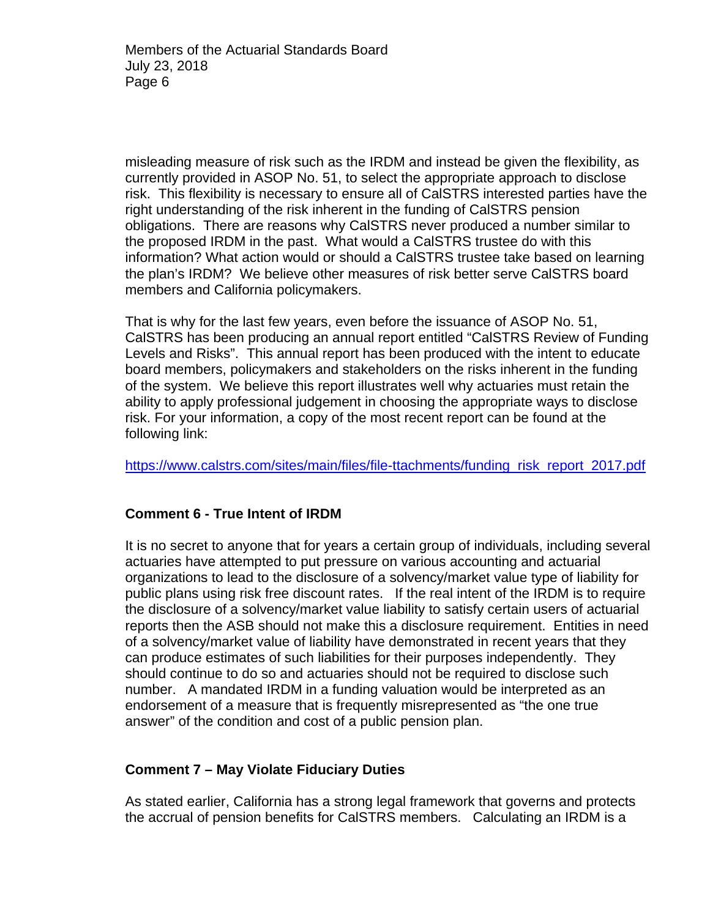misleading measure of risk such as the IRDM and instead be given the flexibility, as currently provided in ASOP No. 51, to select the appropriate approach to disclose risk. This flexibility is necessary to ensure all of CalSTRS interested parties have the right understanding of the risk inherent in the funding of CalSTRS pension obligations. There are reasons why CalSTRS never produced a number similar to the proposed IRDM in the past. What would a CalSTRS trustee do with this information? What action would or should a CalSTRS trustee take based on learning the plan's IRDM? We believe other measures of risk better serve CalSTRS board members and California policymakers.

That is why for the last few years, even before the issuance of ASOP No. 51, CalSTRS has been producing an annual report entitled "CalSTRS Review of Funding Levels and Risks". This annual report has been produced with the intent to educate board members, policymakers and stakeholders on the risks inherent in the funding of the system. We believe this report illustrates well why actuaries must retain the ability to apply professional judgement in choosing the appropriate ways to disclose risk. For your information, a copy of the most recent report can be found at the following link:

https://www.calstrs.com/sites/main/files/file-ttachments/funding\_risk\_report\_2017.pdf

### **Comment 6 - True Intent of IRDM**

It is no secret to anyone that for years a certain group of individuals, including several actuaries have attempted to put pressure on various accounting and actuarial organizations to lead to the disclosure of a solvency/market value type of liability for public plans using risk free discount rates. If the real intent of the IRDM is to require the disclosure of a solvency/market value liability to satisfy certain users of actuarial reports then the ASB should not make this a disclosure requirement. Entities in need of a solvency/market value of liability have demonstrated in recent years that they can produce estimates of such liabilities for their purposes independently. They should continue to do so and actuaries should not be required to disclose such number. A mandated IRDM in a funding valuation would be interpreted as an endorsement of a measure that is frequently misrepresented as "the one true answer" of the condition and cost of a public pension plan.

### **Comment 7 – May Violate Fiduciary Duties**

As stated earlier, California has a strong legal framework that governs and protects the accrual of pension benefits for CalSTRS members. Calculating an IRDM is a